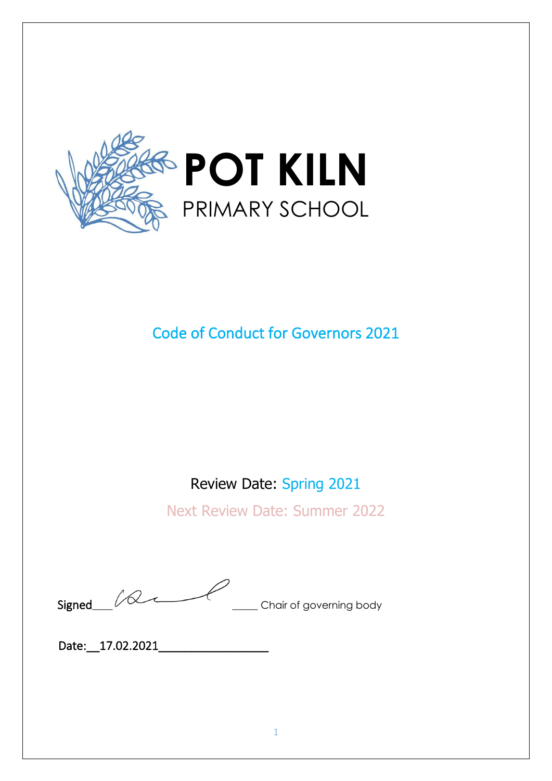

# Code of Conduct for Governors 2021

## Review Date: Spring 2021

Next Review Date: Summer 2022

Signed  $\sqrt{2}$  **Chair of governing body** 

Date: 17.02.2021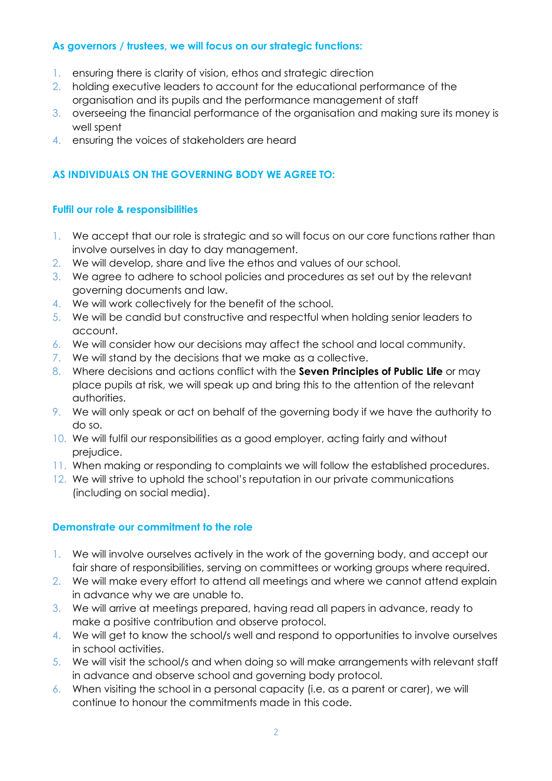#### **As governors / trustees, we will focus on our strategic functions:**

- 1. ensuring there is clarity of vision, ethos and strategic direction
- 2. holding executive leaders to account for the educational performance of the organisation and its pupils and the performance management of staff
- 3. overseeing the financial performance of the organisation and making sure its money is well spent
- 4. ensuring the voices of stakeholders are heard

## **AS INDIVIDUALS ON THE GOVERNING BODY WE AGREE TO:**

#### **Fulfil our role & responsibilities**

- 1. We accept that our role is strategic and so will focus on our core functions rather than involve ourselves in day to day management.
- 2. We will develop, share and live the ethos and values of our school.
- 3. We agree to adhere to school policies and procedures as set out by the relevant governing documents and law.
- 4. We will work collectively for the benefit of the school.
- 5. We will be candid but constructive and respectful when holding senior leaders to account.
- 6. We will consider how our decisions may affect the school and local community.
- 7. We will stand by the decisions that we make as a collective.
- 8. Where decisions and actions conflict with the **Seven Principles of Public Life** or may place pupils at risk, we will speak up and bring this to the attention of the relevant authorities.
- 9. We will only speak or act on behalf of the governing body if we have the authority to do so.
- 10. We will fulfil our responsibilities as a good employer, acting fairly and without prejudice.
- 11. When making or responding to complaints we will follow the established procedures.
- 12. We will strive to uphold the school's reputation in our private communications (including on social media).

#### **Demonstrate our commitment to the role**

- 1. We will involve ourselves actively in the work of the governing body, and accept our fair share of responsibilities, serving on committees or working groups where required.
- 2. We will make every effort to attend all meetings and where we cannot attend explain in advance why we are unable to.
- 3. We will arrive at meetings prepared, having read all papers in advance, ready to make a positive contribution and observe protocol.
- 4. We will get to know the school/s well and respond to opportunities to involve ourselves in school activities.
- 5. We will visit the school/s and when doing so will make arrangements with relevant staff in advance and observe school and governing body protocol.
- 6. When visiting the school in a personal capacity (i.e. as a parent or carer), we will continue to honour the commitments made in this code.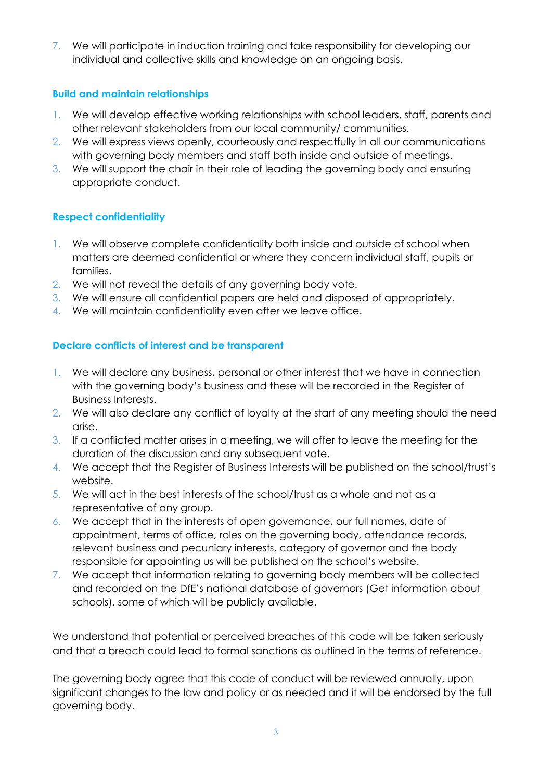7. We will participate in induction training and take responsibility for developing our individual and collective skills and knowledge on an ongoing basis.

#### **Build and maintain relationships**

- 1. We will develop effective working relationships with school leaders, staff, parents and other relevant stakeholders from our local community/ communities.
- 2. We will express views openly, courteously and respectfully in all our communications with governing body members and staff both inside and outside of meetings.
- 3. We will support the chair in their role of leading the governing body and ensuring appropriate conduct.

#### **Respect confidentiality**

- 1. We will observe complete confidentiality both inside and outside of school when matters are deemed confidential or where they concern individual staff, pupils or families.
- 2. We will not reveal the details of any governing body vote.
- 3. We will ensure all confidential papers are held and disposed of appropriately.
- 4. We will maintain confidentiality even after we leave office.

#### **Declare conflicts of interest and be transparent**

- 1. We will declare any business, personal or other interest that we have in connection with the governing body's business and these will be recorded in the Register of Business Interests.
- 2. We will also declare any conflict of loyalty at the start of any meeting should the need arise.
- 3. If a conflicted matter arises in a meeting, we will offer to leave the meeting for the duration of the discussion and any subsequent vote.
- 4. We accept that the Register of Business Interests will be published on the school/trust's website.
- 5. We will act in the best interests of the school/trust as a whole and not as a representative of any group.
- 6. We accept that in the interests of open governance, our full names, date of appointment, terms of office, roles on the governing body, attendance records, relevant business and pecuniary interests, category of governor and the body responsible for appointing us will be published on the school's website.
- 7. We accept that information relating to governing body members will be collected and recorded on the DfE's national database of governors (Get information about schools), some of which will be publicly available.

We understand that potential or perceived breaches of this code will be taken seriously and that a breach could lead to formal sanctions as outlined in the terms of reference.

The governing body agree that this code of conduct will be reviewed annually, upon significant changes to the law and policy or as needed and it will be endorsed by the full governing body.